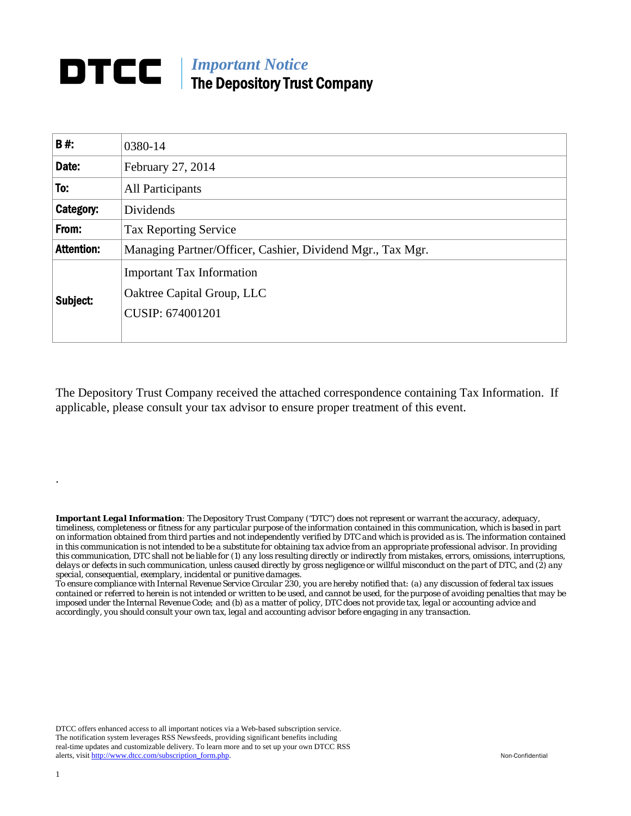# *Important Notice*  The Depository Trust Company

| <b>B#:</b>        | 0380-14                                                                            |  |  |
|-------------------|------------------------------------------------------------------------------------|--|--|
| Date:             | February 27, 2014                                                                  |  |  |
| To:               | All Participants                                                                   |  |  |
| Category:         | Dividends                                                                          |  |  |
| From:             | <b>Tax Reporting Service</b>                                                       |  |  |
| <b>Attention:</b> | Managing Partner/Officer, Cashier, Dividend Mgr., Tax Mgr.                         |  |  |
| Subject:          | <b>Important Tax Information</b><br>Oaktree Capital Group, LLC<br>CUSIP: 674001201 |  |  |

The Depository Trust Company received the attached correspondence containing Tax Information. If applicable, please consult your tax advisor to ensure proper treatment of this event.

*Important Legal Information: The Depository Trust Company ("DTC") does not represent or warrant the accuracy, adequacy, timeliness, completeness or fitness for any particular purpose of the information contained in this communication, which is based in part on information obtained from third parties and not independently verified by DTC and which is provided as is. The information contained in this communication is not intended to be a substitute for obtaining tax advice from an appropriate professional advisor. In providing this communication, DTC shall not be liable for (1) any loss resulting directly or indirectly from mistakes, errors, omissions, interruptions, delays or defects in such communication, unless caused directly by gross negligence or willful misconduct on the part of DTC, and (2) any special, consequential, exemplary, incidental or punitive damages.* 

*To ensure compliance with Internal Revenue Service Circular 230, you are hereby notified that: (a) any discussion of federal tax issues contained or referred to herein is not intended or written to be used, and cannot be used, for the purpose of avoiding penalties that may be imposed under the Internal Revenue Code; and (b) as a matter of policy, DTC does not provide tax, legal or accounting advice and accordingly, you should consult your own tax, legal and accounting advisor before engaging in any transaction.*

DTCC offers enhanced access to all important notices via a Web-based subscription service. The notification system leverages RSS Newsfeeds, providing significant benefits including real-time updates and customizable delivery. To learn more and to set up your own DTCC RSS alerts, visit http://www.dtcc.com/subscription\_form.php. Non-Confidential

.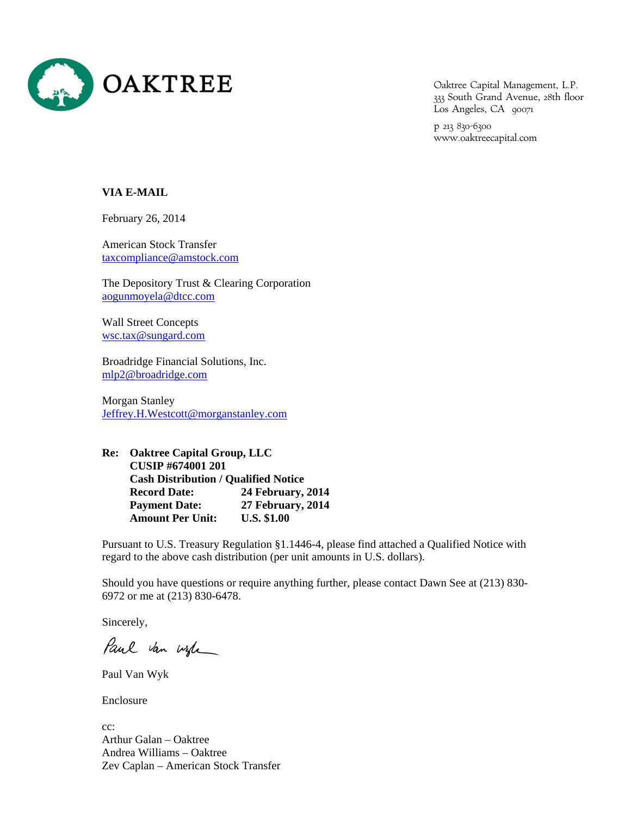

Oaktree Capital Management, L.P. 333 South Grand Avenue, 28th floor Los Angeles, CA 90071

p 213 830-6300 www.oaktreecapital.com

## **VIA E-MAIL**

February 26, 2014

American Stock Transfer taxcompliance@amstock.com

The Depository Trust & Clearing Corporation aogunmoyela@dtcc.com

Wall Street Concepts wsc.tax@sungard.com

Broadridge Financial Solutions, Inc. mlp2@broadridge.com

Morgan Stanley Jeffrey.H.Westcott@morganstanley.com

**Re: Oaktree Capital Group, LLC CUSIP #674001 201 Cash Distribution / Qualified Notice Record Date: 24 February, 2014 Payment Date: 27 February, 2014 Amount Per Unit: U.S. \$1.00** 

Pursuant to U.S. Treasury Regulation §1.1446-4, please find attached a Qualified Notice with regard to the above cash distribution (per unit amounts in U.S. dollars).

Should you have questions or require anything further, please contact Dawn See at (213) 830- 6972 or me at (213) 830-6478.

Sincerely,

Paul van wife

Paul Van Wyk

Enclosure

cc: Arthur Galan – Oaktree Andrea Williams – Oaktree Zev Caplan – American Stock Transfer